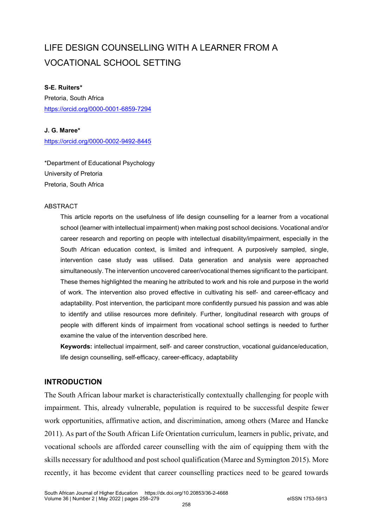# LIFE DESIGN COUNSELLING WITH A LEARNER FROM A VOCATIONAL SCHOOL SETTING

# **S-E. Ruiters\***

Pretoria, South Africa <https://orcid.org/0000-0001-6859-7294>

# **J. G. Maree\***

<https://orcid.org/0000-0002-9492-8445>

\*Department of Educational Psychology University of Pretoria Pretoria, South Africa

# **ABSTRACT**

This article reports on the usefulness of life design counselling for a learner from a vocational school (learner with intellectual impairment) when making post school decisions. Vocational and/or career research and reporting on people with intellectual disability/impairment, especially in the South African education context, is limited and infrequent. A purposively sampled, single, intervention case study was utilised. Data generation and analysis were approached simultaneously. The intervention uncovered career/vocational themes significant to the participant. These themes highlighted the meaning he attributed to work and his role and purpose in the world of work. The intervention also proved effective in cultivating his self- and career-efficacy and adaptability. Post intervention, the participant more confidently pursued his passion and was able to identify and utilise resources more definitely. Further, longitudinal research with groups of people with different kinds of impairment from vocational school settings is needed to further examine the value of the intervention described here.

**Keywords:** intellectual impairment, self- and career construction, vocational guidance/education, life design counselling, self-efficacy, career-efficacy, adaptability

# **INTRODUCTION**

The South African labour market is characteristically contextually challenging for people with impairment. This, already vulnerable, population is required to be successful despite fewer work opportunities, affirmative action, and discrimination, among others (Maree and Hancke 2011). As part of the South African Life Orientation curriculum, learners in public, private, and vocational schools are afforded career counselling with the aim of equipping them with the skills necessary for adulthood and post school qualification (Maree and Symington 2015). More recently, it has become evident that career counselling practices need to be geared towards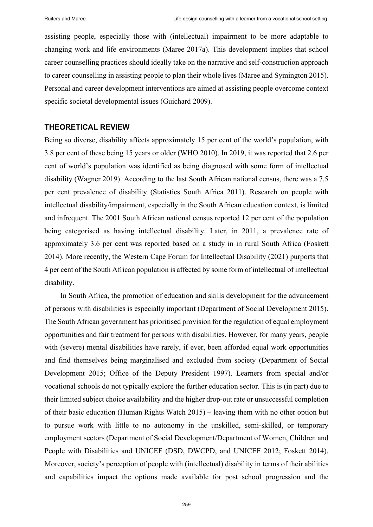assisting people, especially those with (intellectual) impairment to be more adaptable to changing work and life environments (Maree 2017a). This development implies that school career counselling practices should ideally take on the narrative and self-construction approach to career counselling in assisting people to plan their whole lives (Maree and Symington 2015). Personal and career development interventions are aimed at assisting people overcome context specific societal developmental issues (Guichard 2009).

# **THEORETICAL REVIEW**

Being so diverse, disability affects approximately 15 per cent of the world's population, with 3.8 per cent of these being 15 years or older (WHO 2010). In 2019, it was reported that 2.6 per cent of world's population was identified as being diagnosed with some form of intellectual disability (Wagner 2019). According to the last South African national census, there was a 7.5 per cent prevalence of disability (Statistics South Africa 2011). Research on people with intellectual disability/impairment, especially in the South African education context, is limited and infrequent. The 2001 South African national census reported 12 per cent of the population being categorised as having intellectual disability. Later, in 2011, a prevalence rate of approximately 3.6 per cent was reported based on a study in in rural South Africa (Foskett 2014). More recently, the Western Cape Forum for Intellectual Disability (2021) purports that 4 per cent of the South African population is affected by some form of intellectual of intellectual disability.

In South Africa, the promotion of education and skills development for the advancement of persons with disabilities is especially important (Department of Social Development 2015). The South African government has prioritised provision for the regulation of equal employment opportunities and fair treatment for persons with disabilities. However, for many years, people with (severe) mental disabilities have rarely, if ever, been afforded equal work opportunities and find themselves being marginalised and excluded from society (Department of Social Development 2015; Office of the Deputy President 1997). Learners from special and/or vocational schools do not typically explore the further education sector. This is (in part) due to their limited subject choice availability and the higher drop-out rate or unsuccessful completion of their basic education (Human Rights Watch 2015) – leaving them with no other option but to pursue work with little to no autonomy in the unskilled, semi-skilled, or temporary employment sectors (Department of Social Development/Department of Women, Children and People with Disabilities and UNICEF (DSD, DWCPD, and UNICEF 2012; Foskett 2014). Moreover, society's perception of people with (intellectual) disability in terms of their abilities and capabilities impact the options made available for post school progression and the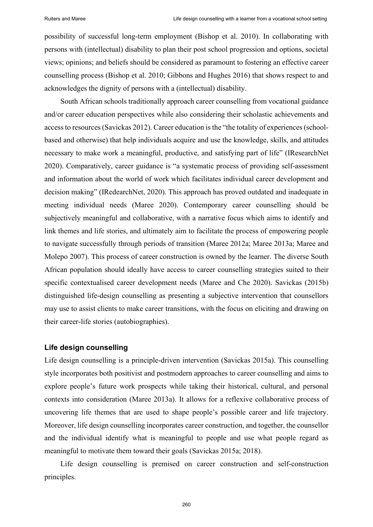possibility of successful long-term employment (Bishop et al. 2010). In collaborating with persons with (intellectual) disability to plan their post school progression and options, societal views; opinions; and beliefs should be considered as paramount to fostering an effective career counselling process (Bishop et al. 2010; Gibbons and Hughes 2016) that shows respect to and acknowledges the dignity of persons with a (intellectual) disability.

South African schools traditionally approach career counselling from vocational guidance and/or career education perspectives while also considering their scholastic achievements and access to resources (Savickas 2012). Career education is the "the totality of experiences (schoolbased and otherwise) that help individuals acquire and use the knowledge, skills, and attitudes necessary to make work a meaningful, productive, and satisfying part of life" (IResearchNet 2020). Comparatively, career guidance is "a systematic process of providing self-assessment and information about the world of work which facilitates individual career development and decision making" (IRedearchNet, 2020). This approach has proved outdated and inadequate in meeting individual needs (Maree 2020). Contemporary career counselling should be subjectively meaningful and collaborative, with a narrative focus which aims to identify and link themes and life stories, and ultimately aim to facilitate the process of empowering people to navigate successfully through periods of transition (Maree 2012a; Maree 2013a; Maree and Molepo 2007). This process of career construction is owned by the learner. The diverse South African population should ideally have access to career counselling strategies suited to their specific contextualised career development needs (Maree and Che 2020). Savickas (2015b) distinguished life-design counselling as presenting a subjective intervention that counsellors may use to assist clients to make career transitions, with the focus on eliciting and drawing on their career-life stories (autobiographies).

# **Life design counselling**

Life design counselling is a principle-driven intervention (Savickas 2015a). This counselling style incorporates both positivist and postmodern approaches to career counselling and aims to explore people's future work prospects while taking their historical, cultural, and personal contexts into consideration (Maree 2013a). It allows for a reflexive collaborative process of uncovering life themes that are used to shape people's possible career and life trajectory. Moreover, life design counselling incorporates career construction, and together, the counsellor and the individual identify what is meaningful to people and use what people regard as meaningful to motivate them toward their goals (Savickas 2015a; 2018).

Life design counselling is premised on career construction and self-construction principles.

260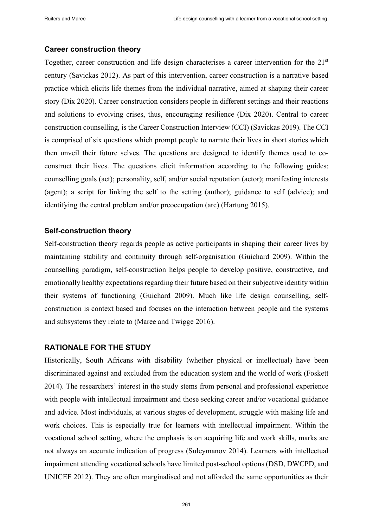# **Career construction theory**

Together, career construction and life design characterises a career intervention for the 21<sup>st</sup> century (Savickas 2012). As part of this intervention, career construction is a narrative based practice which elicits life themes from the individual narrative, aimed at shaping their career story (Dix 2020). Career construction considers people in different settings and their reactions and solutions to evolving crises, thus, encouraging resilience (Dix 2020). Central to career construction counselling, is the Career Construction Interview (CCI) (Savickas 2019). The CCI is comprised of six questions which prompt people to narrate their lives in short stories which then unveil their future selves. The questions are designed to identify themes used to coconstruct their lives. The questions elicit information according to the following guides: counselling goals (act); personality, self, and/or social reputation (actor); manifesting interests (agent); a script for linking the self to the setting (author); guidance to self (advice); and identifying the central problem and/or preoccupation (arc) (Hartung 2015).

# **Self-construction theory**

Self-construction theory regards people as active participants in shaping their career lives by maintaining stability and continuity through self-organisation (Guichard 2009). Within the counselling paradigm, self-construction helps people to develop positive, constructive, and emotionally healthy expectations regarding their future based on their subjective identity within their systems of functioning (Guichard 2009). Much like life design counselling, selfconstruction is context based and focuses on the interaction between people and the systems and subsystems they relate to (Maree and Twigge 2016).

# **RATIONALE FOR THE STUDY**

Historically, South Africans with disability (whether physical or intellectual) have been discriminated against and excluded from the education system and the world of work (Foskett 2014). The researchers' interest in the study stems from personal and professional experience with people with intellectual impairment and those seeking career and/or vocational guidance and advice. Most individuals, at various stages of development, struggle with making life and work choices. This is especially true for learners with intellectual impairment. Within the vocational school setting, where the emphasis is on acquiring life and work skills, marks are not always an accurate indication of progress (Suleymanov 2014). Learners with intellectual impairment attending vocational schools have limited post-school options (DSD, DWCPD, and UNICEF 2012). They are often marginalised and not afforded the same opportunities as their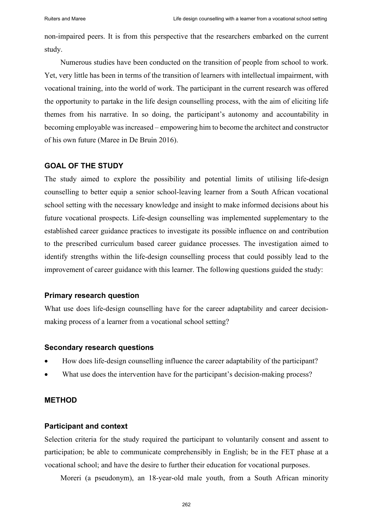non-impaired peers. It is from this perspective that the researchers embarked on the current study.

Numerous studies have been conducted on the transition of people from school to work. Yet, very little has been in terms of the transition of learners with intellectual impairment, with vocational training, into the world of work. The participant in the current research was offered the opportunity to partake in the life design counselling process, with the aim of eliciting life themes from his narrative. In so doing, the participant's autonomy and accountability in becoming employable was increased – empowering him to become the architect and constructor of his own future (Maree in De Bruin 2016).

# **GOAL OF THE STUDY**

The study aimed to explore the possibility and potential limits of utilising life-design counselling to better equip a senior school-leaving learner from a South African vocational school setting with the necessary knowledge and insight to make informed decisions about his future vocational prospects. Life-design counselling was implemented supplementary to the established career guidance practices to investigate its possible influence on and contribution to the prescribed curriculum based career guidance processes. The investigation aimed to identify strengths within the life-design counselling process that could possibly lead to the improvement of career guidance with this learner. The following questions guided the study:

## **Primary research question**

What use does life-design counselling have for the career adaptability and career decisionmaking process of a learner from a vocational school setting?

#### **Secondary research questions**

- How does life-design counselling influence the career adaptability of the participant?
- What use does the intervention have for the participant's decision-making process?

# **METHOD**

## **Participant and context**

Selection criteria for the study required the participant to voluntarily consent and assent to participation; be able to communicate comprehensibly in English; be in the FET phase at a vocational school; and have the desire to further their education for vocational purposes.

Moreri (a pseudonym), an 18-year-old male youth, from a South African minority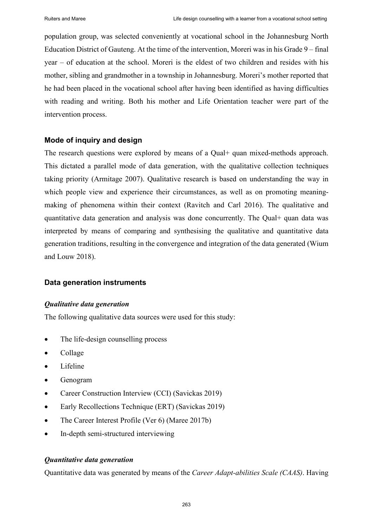population group, was selected conveniently at vocational school in the Johannesburg North Education District of Gauteng. At the time of the intervention, Moreri was in his Grade 9 – final year – of education at the school. Moreri is the eldest of two children and resides with his mother, sibling and grandmother in a township in Johannesburg. Moreri's mother reported that he had been placed in the vocational school after having been identified as having difficulties with reading and writing. Both his mother and Life Orientation teacher were part of the intervention process.

# **Mode of inquiry and design**

The research questions were explored by means of a Qual+ quan mixed-methods approach. This dictated a parallel mode of data generation, with the qualitative collection techniques taking priority (Armitage 2007). Qualitative research is based on understanding the way in which people view and experience their circumstances, as well as on promoting meaningmaking of phenomena within their context (Ravitch and Carl 2016). The qualitative and quantitative data generation and analysis was done concurrently. The Qual+ quan data was interpreted by means of comparing and synthesising the qualitative and quantitative data generation traditions, resulting in the convergence and integration of the data generated (Wium and Louw 2018).

# **Data generation instruments**

# *Qualitative data generation*

The following qualitative data sources were used for this study:

- The life-design counselling process
- Collage
- Lifeline
- Genogram
- Career Construction Interview (CCI) (Savickas 2019)
- Early Recollections Technique (ERT) (Savickas 2019)
- The Career Interest Profile (Ver 6) (Maree 2017b)
- In-depth semi-structured interviewing

# *Quantitative data generation*

Quantitative data was generated by means of the *Career Adapt-abilities Scale (CAAS)*. Having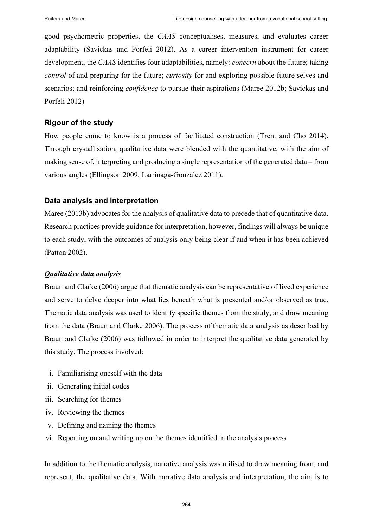good psychometric properties, the *CAAS* conceptualises, measures, and evaluates career adaptability (Savickas and Porfeli 2012). As a career intervention instrument for career development, the *CAAS* identifies four adaptabilities, namely: *concern* about the future; taking *control* of and preparing for the future; *curiosity* for and exploring possible future selves and scenarios; and reinforcing *confidence* to pursue their aspirations (Maree 2012b; Savickas and Porfeli 2012)

# **Rigour of the study**

How people come to know is a process of facilitated construction (Trent and Cho 2014). Through crystallisation, qualitative data were blended with the quantitative, with the aim of making sense of, interpreting and producing a single representation of the generated data – from various angles (Ellingson 2009; Larrinaga-Gonzalez 2011).

## **Data analysis and interpretation**

Maree (2013b) advocates for the analysis of qualitative data to precede that of quantitative data. Research practices provide guidance for interpretation, however, findings will always be unique to each study, with the outcomes of analysis only being clear if and when it has been achieved (Patton 2002).

#### *Qualitative data analysis*

Braun and Clarke (2006) argue that thematic analysis can be representative of lived experience and serve to delve deeper into what lies beneath what is presented and/or observed as true. Thematic data analysis was used to identify specific themes from the study, and draw meaning from the data (Braun and Clarke 2006). The process of thematic data analysis as described by Braun and Clarke (2006) was followed in order to interpret the qualitative data generated by this study. The process involved:

- i. Familiarising oneself with the data
- ii. Generating initial codes
- iii. Searching for themes
- iv. Reviewing the themes
- v. Defining and naming the themes
- vi. Reporting on and writing up on the themes identified in the analysis process

In addition to the thematic analysis, narrative analysis was utilised to draw meaning from, and represent, the qualitative data. With narrative data analysis and interpretation, the aim is to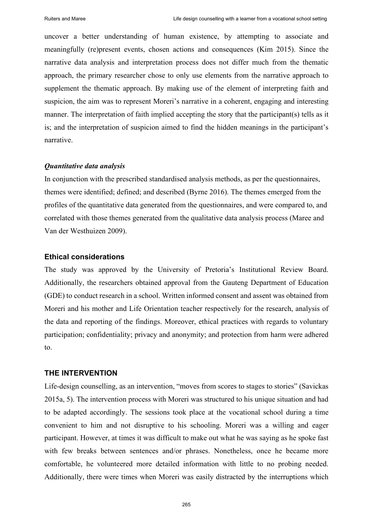uncover a better understanding of human existence, by attempting to associate and meaningfully (re)present events, chosen actions and consequences (Kim 2015). Since the narrative data analysis and interpretation process does not differ much from the thematic approach, the primary researcher chose to only use elements from the narrative approach to supplement the thematic approach. By making use of the element of interpreting faith and suspicion, the aim was to represent Moreri's narrative in a coherent, engaging and interesting manner. The interpretation of faith implied accepting the story that the participant(s) tells as it is; and the interpretation of suspicion aimed to find the hidden meanings in the participant's narrative.

## *Quantitative data analysis*

In conjunction with the prescribed standardised analysis methods, as per the questionnaires, themes were identified; defined; and described (Byrne 2016). The themes emerged from the profiles of the quantitative data generated from the questionnaires, and were compared to, and correlated with those themes generated from the qualitative data analysis process (Maree and Van der Westhuizen 2009).

# **Ethical considerations**

The study was approved by the University of Pretoria's Institutional Review Board. Additionally, the researchers obtained approval from the Gauteng Department of Education (GDE) to conduct research in a school. Written informed consent and assent was obtained from Moreri and his mother and Life Orientation teacher respectively for the research, analysis of the data and reporting of the findings. Moreover, ethical practices with regards to voluntary participation; confidentiality; privacy and anonymity; and protection from harm were adhered to.

# **THE INTERVENTION**

Life-design counselling, as an intervention, "moves from scores to stages to stories" (Savickas 2015a, 5). The intervention process with Moreri was structured to his unique situation and had to be adapted accordingly. The sessions took place at the vocational school during a time convenient to him and not disruptive to his schooling. Moreri was a willing and eager participant. However, at times it was difficult to make out what he was saying as he spoke fast with few breaks between sentences and/or phrases. Nonetheless, once he became more comfortable, he volunteered more detailed information with little to no probing needed. Additionally, there were times when Moreri was easily distracted by the interruptions which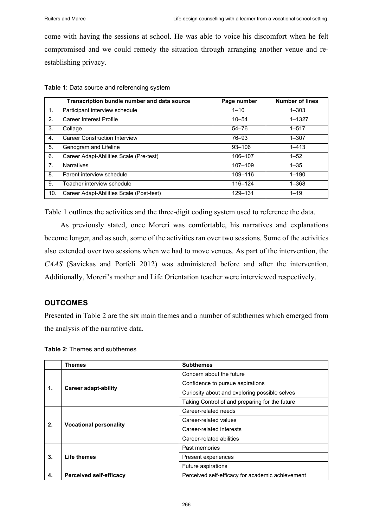come with having the sessions at school. He was able to voice his discomfort when he felt compromised and we could remedy the situation through arranging another venue and reestablishing privacy.

|     | Transcription bundle number and data source | Page number | <b>Number of lines</b> |
|-----|---------------------------------------------|-------------|------------------------|
| 1.  | Participant interview schedule              | $1 - 10$    | $1 - 303$              |
| 2.  | Career Interest Profile                     | $10 - 54$   | $1 - 1327$             |
| 3.  | Collage                                     | $54 - 76$   | $1 - 517$              |
| 4.  | <b>Career Construction Interview</b>        | 76-93       | $1 - 307$              |
| 5.  | Genogram and Lifeline                       | $93 - 106$  | $1 - 413$              |
| 6.  | Career Adapt-Abilities Scale (Pre-test)     | 106-107     | $1 - 52$               |
| 7.  | <b>Narratives</b>                           | 107-109     | $1 - 35$               |
| 8.  | Parent interview schedule                   | 109-116     | $1 - 190$              |
| 9.  | Teacher interview schedule                  | 116-124     | $1 - 368$              |
| 10. | Career Adapt-Abilities Scale (Post-test)    | 129-131     | $1 - 19$               |

Table 1 outlines the activities and the three-digit coding system used to reference the data.

As previously stated, once Moreri was comfortable, his narratives and explanations become longer, and as such, some of the activities ran over two sessions. Some of the activities also extended over two sessions when we had to move venues. As part of the intervention, the *CAAS* (Savickas and Porfeli 2012) was administered before and after the intervention. Additionally, Moreri's mother and Life Orientation teacher were interviewed respectively.

# **OUTCOMES**

Presented in Table 2 are the six main themes and a number of subthemes which emerged from the analysis of the narrative data.

|    | <b>Themes</b>                  | <b>Subthemes</b>                                 |  |
|----|--------------------------------|--------------------------------------------------|--|
| 1. | Career adapt-ability           | Concern about the future                         |  |
|    |                                | Confidence to pursue aspirations                 |  |
|    |                                | Curiosity about and exploring possible selves    |  |
|    |                                | Taking Control of and preparing for the future   |  |
|    | <b>Vocational personality</b>  | Career-related needs                             |  |
| 2. |                                | Career-related values                            |  |
|    |                                | Career-related interests                         |  |
|    |                                | Career-related abilities                         |  |
| 3. | Life themes                    | Past memories                                    |  |
|    |                                | Present experiences                              |  |
|    |                                | <b>Future aspirations</b>                        |  |
| 4. | <b>Perceived self-efficacy</b> | Perceived self-efficacy for academic achievement |  |

**Table 2**: Themes and subthemes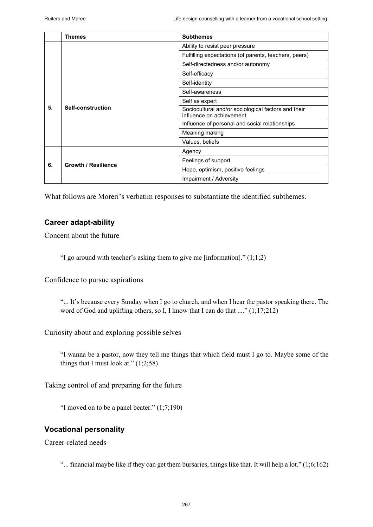|    | <b>Themes</b>              | <b>Subthemes</b>                                                                |
|----|----------------------------|---------------------------------------------------------------------------------|
|    |                            | Ability to resist peer pressure                                                 |
|    |                            | Fulfilling expectations (of parents, teachers, peers)                           |
|    |                            | Self-directedness and/or autonomy                                               |
| 5. | Self-construction          | Self-efficacy                                                                   |
|    |                            | Self-identity                                                                   |
|    |                            | Self-awareness                                                                  |
|    |                            | Self as expert                                                                  |
|    |                            | Sociocultural and/or sociological factors and their<br>influence on achievement |
|    |                            | Influence of personal and social relationships                                  |
|    |                            | Meaning making                                                                  |
|    |                            | Values, beliefs                                                                 |
| 6. | <b>Growth / Resilience</b> | Agency                                                                          |
|    |                            | Feelings of support                                                             |
|    |                            | Hope, optimism, positive feelings                                               |
|    |                            | Impairment / Adversity                                                          |

What follows are Moreri's verbatim responses to substantiate the identified subthemes.

# **Career adapt-ability**

Concern about the future

"I go around with teacher's asking them to give me [information]."  $(1,1;2)$ 

Confidence to pursue aspirations

"... It's because every Sunday when I go to church, and when I hear the pastor speaking there. The word of God and uplifting others, so I, I know that I can do that ...." (1;17;212)

Curiosity about and exploring possible selves

"I wanna be a pastor, now they tell me things that which field must I go to. Maybe some of the things that I must look at."  $(1,2,58)$ 

Taking control of and preparing for the future

"I moved on to be a panel beater."  $(1,7,190)$ 

# **Vocational personality**

Career-related needs

"... financial maybe like if they can get them bursaries, things like that. It will help a lot." (1;6;162)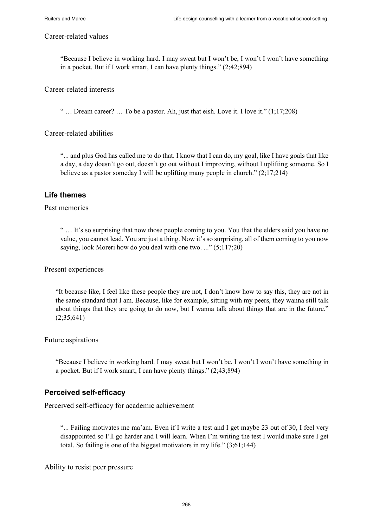#### Career-related values

"Because I believe in working hard. I may sweat but I won't be, I won't I won't have something in a pocket. But if I work smart, I can have plenty things." (2;42;894)

Career-related interests

"  $\ldots$  Dream career?  $\ldots$  To be a pastor. Ah, just that eish. Love it. I love it."  $(1,17,208)$ 

Career-related abilities

"... and plus God has called me to do that. I know that I can do, my goal, like I have goals that like a day, a day doesn't go out, doesn't go out without I improving, without I uplifting someone. So I believe as a pastor someday I will be uplifting many people in church."  $(2,17,214)$ 

# **Life themes**

## Past memories

" … It's so surprising that now those people coming to you. You that the elders said you have no value, you cannot lead. You are just a thing. Now it's so surprising, all of them coming to you now saying, look Moreri how do you deal with one two. ..." (5;117;20)

Present experiences

"It because like, I feel like these people they are not, I don't know how to say this, they are not in the same standard that I am. Because, like for example, sitting with my peers, they wanna still talk about things that they are going to do now, but I wanna talk about things that are in the future."  $(2:35:641)$ 

Future aspirations

"Because I believe in working hard. I may sweat but I won't be, I won't I won't have something in a pocket. But if I work smart, I can have plenty things." (2;43;894)

# **Perceived self-efficacy**

Perceived self-efficacy for academic achievement

"... Failing motivates me ma'am. Even if I write a test and I get maybe 23 out of 30, I feel very disappointed so I'll go harder and I will learn. When I'm writing the test I would make sure I get total. So failing is one of the biggest motivators in my life." (3;61;144)

Ability to resist peer pressure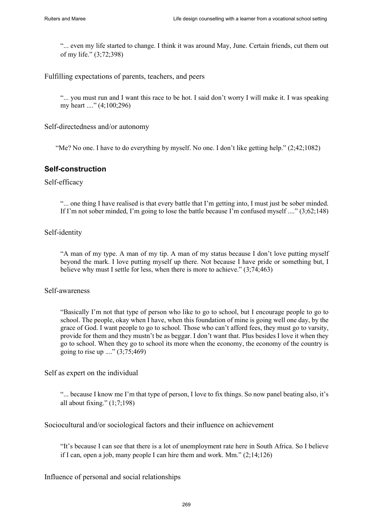"... even my life started to change. I think it was around May, June. Certain friends, cut them out of my life." (3;72;398)

Fulfilling expectations of parents, teachers, and peers

"... you must run and I want this race to be hot. I said don't worry I will make it. I was speaking my heart ...." (4;100;296)

Self-directedness and/or autonomy

"Me? No one. I have to do everything by myself. No one. I don't like getting help." (2;42;1082)

# **Self-construction**

## Self-efficacy

"... one thing I have realised is that every battle that I'm getting into, I must just be sober minded. If I'm not sober minded, I'm going to lose the battle because I'm confused myself ...." (3;62;148)

#### Self-identity

"A man of my type. A man of my tip. A man of my status because I don't love putting myself beyond the mark. I love putting myself up there. Not because I have pride or something but, I believe why must I settle for less, when there is more to achieve." (3;74;463)

## Self-awareness

"Basically I'm not that type of person who like to go to school, but I encourage people to go to school. The people, okay when I have, when this foundation of mine is going well one day, by the grace of God. I want people to go to school. Those who can't afford fees, they must go to varsity, provide for them and they mustn't be as beggar. I don't want that. Plus besides I love it when they go to school. When they go to school its more when the economy, the economy of the country is going to rise up ...." (3;75;469)

Self as expert on the individual

"... because I know me I'm that type of person, I love to fix things. So now panel beating also, it's all about fixing." (1;7;198)

Sociocultural and/or sociological factors and their influence on achievement

"It's because I can see that there is a lot of unemployment rate here in South Africa. So I believe if I can, open a job, many people I can hire them and work. Mm." (2;14;126)

Influence of personal and social relationships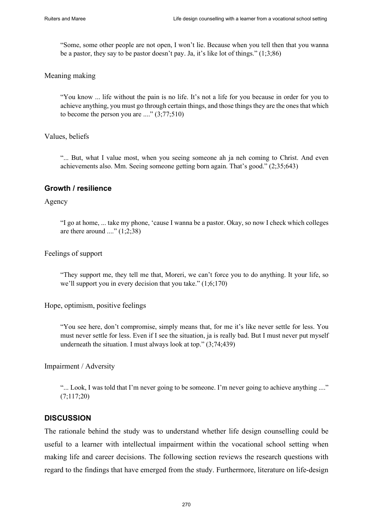"Some, some other people are not open, I won't lie. Because when you tell then that you wanna be a pastor, they say to be pastor doesn't pay. Ja, it's like lot of things." (1;3;86)

## Meaning making

"You know ... life without the pain is no life. It's not a life for you because in order for you to achieve anything, you must go through certain things, and those things they are the ones that which to become the person you are ...." (3;77;510)

# Values, beliefs

"... But, what I value most, when you seeing someone ah ja neh coming to Christ. And even achievements also. Mm. Seeing someone getting born again. That's good." (2;35;643)

# **Growth / resilience**

Agency

"I go at home, ... take my phone, 'cause I wanna be a pastor. Okay, so now I check which colleges are there around  $\ldots$ " (1;2;38)

Feelings of support

"They support me, they tell me that, Moreri, we can't force you to do anything. It your life, so we'll support you in every decision that you take." (1;6;170)

Hope, optimism, positive feelings

"You see here, don't compromise, simply means that, for me it's like never settle for less. You must never settle for less. Even if I see the situation, ja is really bad. But I must never put myself underneath the situation. I must always look at top." (3;74;439)

Impairment / Adversity

"... Look, I was told that I'm never going to be someone. I'm never going to achieve anything ...." (7;117;20)

# **DISCUSSION**

The rationale behind the study was to understand whether life design counselling could be useful to a learner with intellectual impairment within the vocational school setting when making life and career decisions. The following section reviews the research questions with regard to the findings that have emerged from the study. Furthermore, literature on life-design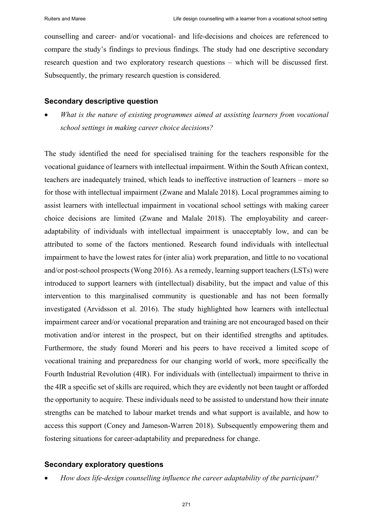counselling and career- and/or vocational- and life-decisions and choices are referenced to compare the study's findings to previous findings. The study had one descriptive secondary research question and two exploratory research questions – which will be discussed first. Subsequently, the primary research question is considered.

## **Secondary descriptive question**

• *What is the nature of existing programmes aimed at assisting learners from vocational school settings in making career choice decisions?*

The study identified the need for specialised training for the teachers responsible for the vocational guidance of learners with intellectual impairment. Within the South African context, teachers are inadequately trained, which leads to ineffective instruction of learners – more so for those with intellectual impairment (Zwane and Malale 2018). Local programmes aiming to assist learners with intellectual impairment in vocational school settings with making career choice decisions are limited (Zwane and Malale 2018). The employability and careeradaptability of individuals with intellectual impairment is unacceptably low, and can be attributed to some of the factors mentioned. Research found individuals with intellectual impairment to have the lowest rates for (inter alia) work preparation, and little to no vocational and/or post-school prospects (Wong 2016). As a remedy, learning support teachers (LSTs) were introduced to support learners with (intellectual) disability, but the impact and value of this intervention to this marginalised community is questionable and has not been formally investigated (Arvidsson et al. 2016). The study highlighted how learners with intellectual impairment career and/or vocational preparation and training are not encouraged based on their motivation and/or interest in the prospect, but on their identified strengths and aptitudes. Furthermore, the study found Moreri and his peers to have received a limited scope of vocational training and preparedness for our changing world of work, more specifically the Fourth Industrial Revolution (4IR). For individuals with (intellectual) impairment to thrive in the 4IR a specific set of skills are required, which they are evidently not been taught or afforded the opportunity to acquire. These individuals need to be assisted to understand how their innate strengths can be matched to labour market trends and what support is available, and how to access this support (Coney and Jameson-Warren 2018). Subsequently empowering them and fostering situations for career-adaptability and preparedness for change.

# **Secondary exploratory questions**

• *How does life-design counselling influence the career adaptability of the participant?*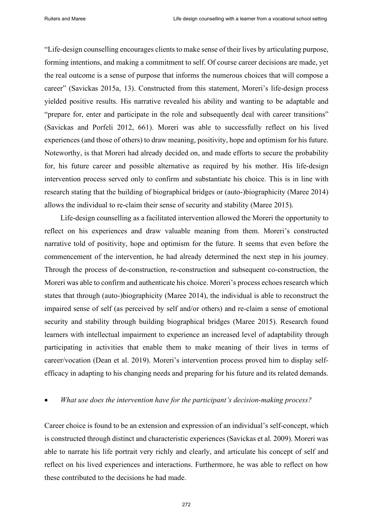"Life-design counselling encourages clients to make sense of their lives by articulating purpose, forming intentions, and making a commitment to self. Of course career decisions are made, yet the real outcome is a sense of purpose that informs the numerous choices that will compose a career" (Savickas 2015a, 13). Constructed from this statement, Moreri's life-design process yielded positive results. His narrative revealed his ability and wanting to be adaptable and "prepare for, enter and participate in the role and subsequently deal with career transitions" (Savickas and Porfeli 2012, 661). Moreri was able to successfully reflect on his lived experiences (and those of others) to draw meaning, positivity, hope and optimism for his future. Noteworthy, is that Moreri had already decided on, and made efforts to secure the probability for, his future career and possible alternative as required by his mother. His life-design intervention process served only to confirm and substantiate his choice. This is in line with research stating that the building of biographical bridges or (auto-)biographicity (Maree 2014) allows the individual to re-claim their sense of security and stability (Maree 2015).

Life-design counselling as a facilitated intervention allowed the Moreri the opportunity to reflect on his experiences and draw valuable meaning from them. Moreri's constructed narrative told of positivity, hope and optimism for the future. It seems that even before the commencement of the intervention, he had already determined the next step in his journey. Through the process of de-construction, re-construction and subsequent co-construction, the Moreri was able to confirm and authenticate his choice. Moreri's process echoes research which states that through (auto-)biographicity (Maree 2014), the individual is able to reconstruct the impaired sense of self (as perceived by self and/or others) and re-claim a sense of emotional security and stability through building biographical bridges (Maree 2015). Research found learners with intellectual impairment to experience an increased level of adaptability through participating in activities that enable them to make meaning of their lives in terms of career/vocation (Dean et al. 2019). Moreri's intervention process proved him to display selfefficacy in adapting to his changing needs and preparing for his future and its related demands.

## • *What use does the intervention have for the participant's decision-making process?*

Career choice is found to be an extension and expression of an individual's self-concept, which is constructed through distinct and characteristic experiences (Savickas et al. 2009). Moreri was able to narrate his life portrait very richly and clearly, and articulate his concept of self and reflect on his lived experiences and interactions. Furthermore, he was able to reflect on how these contributed to the decisions he had made.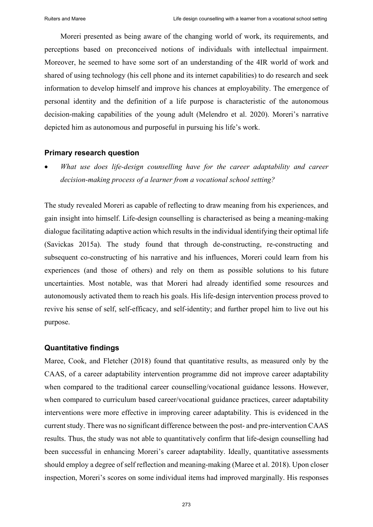Moreri presented as being aware of the changing world of work, its requirements, and perceptions based on preconceived notions of individuals with intellectual impairment. Moreover, he seemed to have some sort of an understanding of the 4IR world of work and shared of using technology (his cell phone and its internet capabilities) to do research and seek information to develop himself and improve his chances at employability. The emergence of personal identity and the definition of a life purpose is characteristic of the autonomous decision-making capabilities of the young adult (Melendro et al. 2020). Moreri's narrative depicted him as autonomous and purposeful in pursuing his life's work.

#### **Primary research question**

• *What use does life-design counselling have for the career adaptability and career decision-making process of a learner from a vocational school setting?*

The study revealed Moreri as capable of reflecting to draw meaning from his experiences, and gain insight into himself. Life-design counselling is characterised as being a meaning-making dialogue facilitating adaptive action which results in the individual identifying their optimal life (Savickas 2015a). The study found that through de-constructing, re-constructing and subsequent co-constructing of his narrative and his influences, Moreri could learn from his experiences (and those of others) and rely on them as possible solutions to his future uncertainties. Most notable, was that Moreri had already identified some resources and autonomously activated them to reach his goals. His life-design intervention process proved to revive his sense of self, self-efficacy, and self-identity; and further propel him to live out his purpose.

#### **Quantitative findings**

Maree, Cook, and Fletcher (2018) found that quantitative results, as measured only by the CAAS, of a career adaptability intervention programme did not improve career adaptability when compared to the traditional career counselling/vocational guidance lessons. However, when compared to curriculum based career/vocational guidance practices, career adaptability interventions were more effective in improving career adaptability. This is evidenced in the current study. There was no significant difference between the post- and pre-intervention CAAS results. Thus, the study was not able to quantitatively confirm that life-design counselling had been successful in enhancing Moreri's career adaptability. Ideally, quantitative assessments should employ a degree of self reflection and meaning-making (Maree et al. 2018). Upon closer inspection, Moreri's scores on some individual items had improved marginally. His responses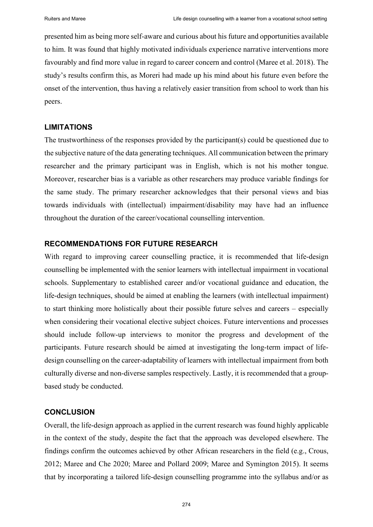presented him as being more self-aware and curious about his future and opportunities available to him. It was found that highly motivated individuals experience narrative interventions more favourably and find more value in regard to career concern and control (Maree et al. 2018). The study's results confirm this, as Moreri had made up his mind about his future even before the onset of the intervention, thus having a relatively easier transition from school to work than his peers.

# **LIMITATIONS**

The trustworthiness of the responses provided by the participant(s) could be questioned due to the subjective nature of the data generating techniques. All communication between the primary researcher and the primary participant was in English, which is not his mother tongue. Moreover, researcher bias is a variable as other researchers may produce variable findings for the same study. The primary researcher acknowledges that their personal views and bias towards individuals with (intellectual) impairment/disability may have had an influence throughout the duration of the career/vocational counselling intervention.

# **RECOMMENDATIONS FOR FUTURE RESEARCH**

With regard to improving career counselling practice, it is recommended that life-design counselling be implemented with the senior learners with intellectual impairment in vocational schools. Supplementary to established career and/or vocational guidance and education, the life-design techniques, should be aimed at enabling the learners (with intellectual impairment) to start thinking more holistically about their possible future selves and careers – especially when considering their vocational elective subject choices. Future interventions and processes should include follow-up interviews to monitor the progress and development of the participants. Future research should be aimed at investigating the long-term impact of lifedesign counselling on the career-adaptability of learners with intellectual impairment from both culturally diverse and non-diverse samples respectively. Lastly, it is recommended that a groupbased study be conducted.

# **CONCLUSION**

Overall, the life-design approach as applied in the current research was found highly applicable in the context of the study, despite the fact that the approach was developed elsewhere. The findings confirm the outcomes achieved by other African researchers in the field (e.g., Crous, 2012; Maree and Che 2020; Maree and Pollard 2009; Maree and Symington 2015). It seems that by incorporating a tailored life-design counselling programme into the syllabus and/or as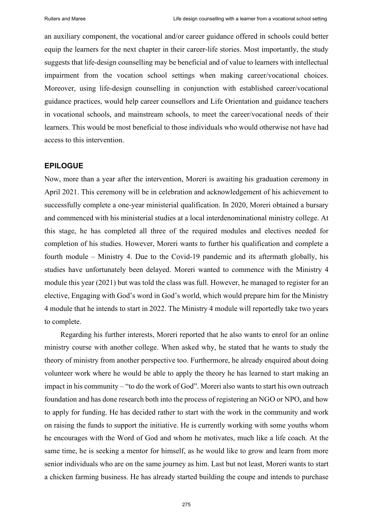an auxiliary component, the vocational and/or career guidance offered in schools could better equip the learners for the next chapter in their career-life stories. Most importantly, the study suggests that life-design counselling may be beneficial and of value to learners with intellectual impairment from the vocation school settings when making career/vocational choices. Moreover, using life-design counselling in conjunction with established career/vocational guidance practices, would help career counsellors and Life Orientation and guidance teachers in vocational schools, and mainstream schools, to meet the career/vocational needs of their learners. This would be most beneficial to those individuals who would otherwise not have had access to this intervention.

## **EPILOGUE**

Now, more than a year after the intervention, Moreri is awaiting his graduation ceremony in April 2021. This ceremony will be in celebration and acknowledgement of his achievement to successfully complete a one-year ministerial qualification. In 2020, Moreri obtained a bursary and commenced with his ministerial studies at a local interdenominational ministry college. At this stage, he has completed all three of the required modules and electives needed for completion of his studies. However, Moreri wants to further his qualification and complete a fourth module – Ministry 4. Due to the Covid-19 pandemic and its aftermath globally, his studies have unfortunately been delayed. Moreri wanted to commence with the Ministry 4 module this year (2021) but was told the class was full. However, he managed to register for an elective, Engaging with God's word in God's world, which would prepare him for the Ministry 4 module that he intends to start in 2022. The Ministry 4 module will reportedly take two years to complete.

Regarding his further interests, Moreri reported that he also wants to enrol for an online ministry course with another college. When asked why, he stated that he wants to study the theory of ministry from another perspective too. Furthermore, he already enquired about doing volunteer work where he would be able to apply the theory he has learned to start making an impact in his community – "to do the work of God". Moreri also wants to start his own outreach foundation and has done research both into the process of registering an NGO or NPO, and how to apply for funding. He has decided rather to start with the work in the community and work on raising the funds to support the initiative. He is currently working with some youths whom he encourages with the Word of God and whom he motivates, much like a life coach. At the same time, he is seeking a mentor for himself, as he would like to grow and learn from more senior individuals who are on the same journey as him. Last but not least, Moreri wants to start a chicken farming business. He has already started building the coupe and intends to purchase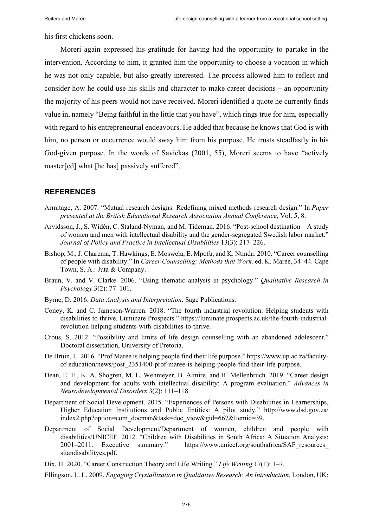his first chickens soon.

Moreri again expressed his gratitude for having had the opportunity to partake in the intervention. According to him, it granted him the opportunity to choose a vocation in which he was not only capable, but also greatly interested. The process allowed him to reflect and consider how he could use his skills and character to make career decisions – an opportunity the majority of his peers would not have received. Moreri identified a quote he currently finds value in, namely "Being faithful in the little that you have", which rings true for him, especially with regard to his entrepreneurial endeavours. He added that because he knows that God is with him, no person or occurrence would sway him from his purpose. He trusts steadfastly in his God-given purpose. In the words of Savickas (2001, 55), Moreri seems to have "actively master[ed] what [he has] passively suffered".

# **REFERENCES**

- Armitage, A. 2007. "Mutual research designs: Redefining mixed methods research design." In *Paper presented at the British Educational Research Association Annual Conference*, Vol. 5, 8.
- Arvidsson, J., S. Widén, C. Staland-Nyman, and M. Tideman. 2016. "Post-school destination A study of women and men with intellectual disability and the gender-segregated Swedish labor market." Journal of Policy and Practice in Intellectual Disabilities 13(3): 217–226.
- Bishop, M., J. Charema, T. Hawkings, E. Moswela, E. Mpofu, and K. Ntinda. 2010. "Career counselling of people with disability." In *Career Counselling: Methods that Work,* ed. K. Maree, 34‒44. Cape Town, S. A.: Juta & Company.
- Braun, V. and V. Clarke. 2006. "Using thematic analysis in psychology." *Qualitative Research in Psychology* 3(2): 77‒101.
- Byrne, D. 2016. *Data Analysis and Interpretation*. Sage Publications.
- Coney, K. and C. Jameson-Warren. 2018. "The fourth industrial revolution: Helping students with disabilities to thrive. Luminate Prospects." https://luminate.prospects.ac.uk/the-fourth-industrialrevolution-helping-students-with-disabilities-to-thrive.
- Crous, S. 2012. "Possibility and limits of life design counselling with an abandoned adolescent." Doctoral dissertation, University of Pretoria.
- De Bruin, L. 2016. "Prof Maree is helping people find their life purpose." [https://www.up.ac.za/faculty](https://www.up.ac.za/faculty-of-education/news/post_2351400-prof-maree-is-helping-people-find-their-life-purpose)[of-education/news/post\\_2351400-prof-maree-is-helping-people-find-their-life-purpose.](https://www.up.ac.za/faculty-of-education/news/post_2351400-prof-maree-is-helping-people-find-their-life-purpose)
- Dean, E. E., K. A. Shogren, M. L. Wehmeyer, B. Almire, and R. Mellenbruch. 2019. "Career design and development for adults with intellectual disability: A program evaluation." *Advances in Neurodevelopmental Disorders* 3(2): 111‒118.
- Department of Social Development. 2015. "Experiences of Persons with Disabilities in Learnerships, Higher Education Institutions and Public Entities: A pilot study." http://www.dsd.gov.za/ index2.php?option=com\_docman&task=doc\_view&gid=667&Itemid=39.
- Department of Social Development/Department of women, children and people with disabilities/UNICEF. 2012. "Children with Disabilities in South Africa: A Situation Analysis: 2001–2011. Executive summary." https://www.unicef.org/southafrica/SAF\_resources sitandisabilityes.pdf.
- Dix, H. 2020. "Career Construction Theory and Life Writing." *Life Writing* 17(1): 1–7.
- Ellingson, L. L. 2009. *Engaging Crystallization in Qualitative Research: An Introduction*. London, UK: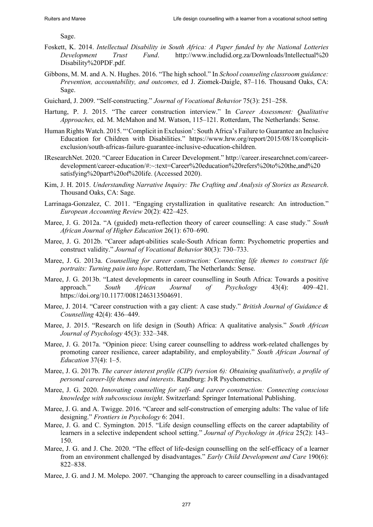Sage.

- Foskett, K. 2014. *Intellectual Disability in South Africa: A Paper funded by the National Lotteries Development Trust Fund*. http://www.includid.org.za/Downloads/Intellectual%20 Disability%20PDF.pdf.
- Gibbons, M. M. and A. N. Hughes. 2016. "The high school." In *School counseling classroom guidance: Prevention, accountability, and outcomes, ed J. Ziomek-Daigle, 87–116. Thousand Oaks, CA:* Sage.
- Guichard, J. 2009. "Self-constructing." *Journal of Vocational Behavior* 75(3): 251–258.
- Hartung, P. J. 2015. "The career construction interview." In *Career Assessment: Qualitative Approaches, ed. M. McMahon and M. Watson, 115-121. Rotterdam, The Netherlands: Sense.*
- Human Rights Watch. 2015. "'Complicit in Exclusion': South Africa's Failure to Guarantee an Inclusive Education for Children with Disabilities." https://www.hrw.org/report/2015/08/18/complicitexclusion/south-africas-failure-guarantee-inclusive-education-children.
- IResearchNet. 2020. "Career Education in Career Development." http://career.iresearchnet.com/careerdevelopment/career-education/#:~:text=Career%20education%20refers%20to%20the,and%20 satisfying%20part%20of%20life. (Accessed 2020).
- Kim, J. H. 2015. *Understanding Narrative Inquiry: The Crafting and Analysis of Stories as Research*. Thousand Oaks, CA: Sage.
- Larrinaga-Gonzalez, C. 2011. "Engaging crystallization in qualitative research: An introduction." *European Accounting Review* 20(2): 422‒425.
- Maree, J. G. 2012a. "A (guided) meta-reflection theory of career counselling: A case study." *South African Journal of Higher Education* 26(1): 670‒690.
- Maree, J. G. 2012b. "Career adapt-abilities scale-South African form: Psychometric properties and construct validity." *Journal of Vocational Behavior* 80(3): 730‒733.
- Maree, J. G. 2013a. *Counselling for career construction: Connecting life themes to construct life portraits: Turning pain into hope*. Rotterdam, The Netherlands: Sense.
- Maree, J. G. 2013b. "Latest developments in career counselling in South Africa: Towards a positive approach." *South African Journal of Psychology* 43(4): 409‒421. https://doi.org/10.1177/0081246313504691.
- Maree, J. 2014. "Career construction with a gay client: A case study." *British Journal of Guidance & Counselling* 42(4): 436‒449.
- Maree, J. 2015. "Research on life design in (South) Africa: A qualitative analysis." *South African Journal of Psychology* 45(3): 332‒348.
- Maree, J. G. 2017a. "Opinion piece: Using career counselling to address work-related challenges by promoting career resilience, career adaptability, and employability." *South African Journal of Education* 37(4): 1‒5.
- Maree, J. G. 2017b. *The career interest profile (CIP) (version 6): Obtaining qualitatively, a profile of personal career-life themes and interests*. Randburg: JvR Psychometrics.
- Maree, J. G. 2020. *Innovating counselling for self- and career construction: Connecting conscious knowledge with subconscious insight*. Switzerland: Springer International Publishing.
- Maree, J. G. and A. Twigge. 2016. "Career and self-construction of emerging adults: The value of life designing." *Frontiers in Psychology* 6: 2041.
- Maree, J. G. and C. Symington. 2015. "Life design counselling effects on the career adaptability of learners in a selective independent school setting." *Journal of Psychology in Africa* 25(2): 143– 150.
- Maree, J. G. and J. Che. 2020. "The effect of life-design counselling on the self-efficacy of a learner from an environment challenged by disadvantages." *Early Child Development and Care* 190(6): 822‒838.
- Maree, J. G. and J. M. Molepo. 2007. "Changing the approach to career counselling in a disadvantaged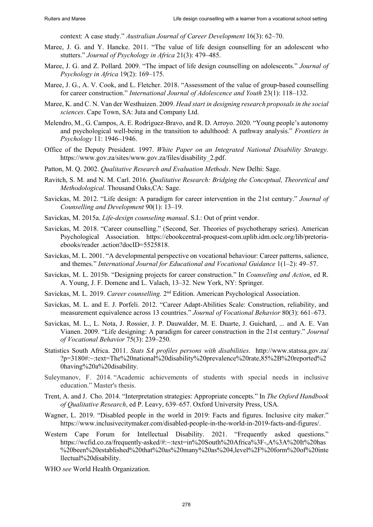context: A case study." *Australian Journal of Career Development* 16(3): 62-70.

- Maree, J. G. and Y. Hancke. 2011. "The value of life design counselling for an adolescent who stutters." *Journal of Psychology in Africa* 21(3): 479–485.
- Maree, J. G. and Z. Pollard. 2009. "The impact of life design counselling on adolescents." *Journal of Psychology in Africa* 19(2): 169–175.
- Maree, J. G., A. V. Cook, and L. Fletcher. 2018. "Assessment of the value of group-based counselling for career construction." *International Journal of Adolescence and Youth* 23(1): 118–132.
- Maree, K. and C. N. Van der Westhuizen. 2009. *Head start in designing research proposals in the social sciences*. Cape Town, SA: Juta and Company Ltd.
- Melendro, M., G. Campos, A. E. Rodríguez-Bravo, and R. D. Arroyo. 2020. "Young people's autonomy and psychological well-being in the transition to adulthood: A pathway analysis." *Frontiers in Psychology* 11: 1946‒1946.
- Office of the Deputy President. 1997. *White Paper on an Integrated National Disability Strategy.* https://www.gov.za/sites/www.gov.za/files/disability\_2.pdf.
- Patton, M. Q. 2002. *Qualitative Research and Evaluation Methods*. New Delhi: Sage.
- Ravitch, S. M. and N. M. Carl. 2016. *Qualitative Research: Bridging the Conceptual, Theoretical and Methodological*. Thousand Oaks,CA: Sage.
- Savickas, M. 2012. "Life design: A paradigm for career intervention in the 21st century." *Journal of Counselling and Development* 90(1): 13‒19.
- Savickas, M. 2015a. *Life-design counseling manual*. S.I.: Out of print vendor.
- Savickas, M. 2018. "Career counselling." (Second, Ser. Theories of psychotherapy series). American Psychological Association. https://ebookcentral-proquest-com.uplib.idm.oclc.org/lib/pretoriaebooks/reader .action?docID=5525818.
- Savickas, M. L. 2001. "A developmental perspective on vocational behaviour: Career patterns, salience, and themes." *International Journal for Educational and Vocational Guidance* 1(1–2): 49–57.
- Savickas, M. L. 2015b. "Designing projects for career construction." In *Counseling and Action*, ed R. A. Young, J. F. Domene and L. Valach, 13–32. New York, NY: Springer.
- Savickas, M. L. 2019. *Career counselling.* 2nd Edition. American Psychological Association.
- Savickas, M. L. and E. J. Porfeli. 2012. "Career Adapt-Abilities Scale: Construction, reliability, and measurement equivalence across 13 countries." *Journal of Vocational Behavior* 80(3): 661–673.
- Savickas, M. L., L. Nota, J. Rossier, J. P. Dauwalder, M. E. Duarte, J. Guichard, ... and A. E. Van Vianen. 2009. "Life designing: A paradigm for career construction in the 21st century." *Journal of Vocational Behavior* 75(3): 239‒250.
- Statistics South Africa. 2011. *Stats SA profiles persons with disabilities*. http://www.statssa.gov.za/ ?p=3180#:~:text=The%20national%20disability%20prevalence%20rate,85%2B%20reported%2 0having%20a%20disability.
- Suleymanov, F. 2014. "Academic achievements of students with special needs in inclusive education." Master's thesis.
- Trent, A. and J. Cho. 2014. "Interpretation strategies: Appropriate concepts." In *The Oxford Handbook of Qualitative Research*, ed P. Leavy, 639–657. Oxford University Press, USA.
- Wagner, L. 2019. "Disabled people in the world in 2019: Facts and figures. Inclusive city maker." https://www.inclusivecitymaker.com/disabled-people-in-the-world-in-2019-facts-and-figures/.
- Western Cape Forum for Intellectual Disability. 2021. "Frequently asked questions." https://wcfid.co.za/frequently-asked/#:~:text=in%20South%20Africa%3F-,A%3A%20It%20has %20been%20established%20that%20as%20many%20as%204,level%2F%20form%20of%20inte llectual%20disability.
- WHO *see* World Health Organization.